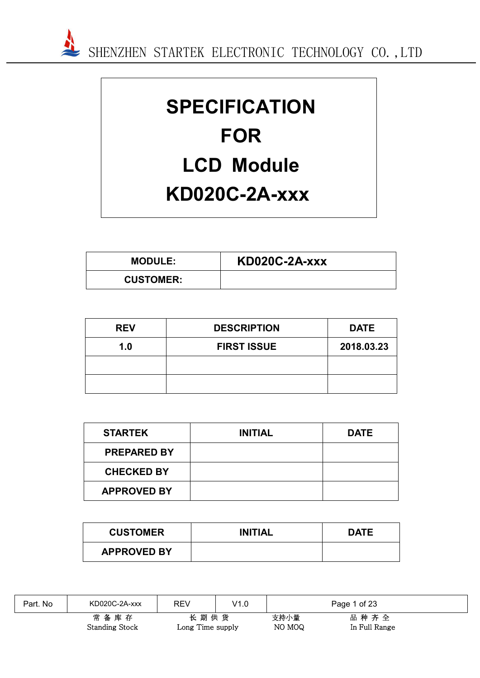

# **SPECIFICATION FOR LCD Module KD020C-2A-xxx**

| <b>MODULE:</b>   | <b>KD020C-2A-xxx</b> |
|------------------|----------------------|
| <b>CUSTOMER:</b> |                      |

| <b>REV</b> | <b>DESCRIPTION</b> | <b>DATE</b> |
|------------|--------------------|-------------|
| 1.0        | <b>FIRST ISSUE</b> | 2018.03.23  |
|            |                    |             |
|            |                    |             |

| <b>STARTEK</b>     | <b>INITIAL</b> | <b>DATE</b> |
|--------------------|----------------|-------------|
| <b>PREPARED BY</b> |                |             |
| <b>CHECKED BY</b>  |                |             |
| <b>APPROVED BY</b> |                |             |

| <b>CUSTOMER</b>    | <b>INITIAL</b> | <b>DATE</b> |
|--------------------|----------------|-------------|
| <b>APPROVED BY</b> |                |             |

| Part. No | KD020C-2A-xxx                 | REV                      | V1.0 |                | Page 1 of 23          |  |
|----------|-------------------------------|--------------------------|------|----------------|-----------------------|--|
|          | 常备库存<br><b>Standing Stock</b> | 长期供货<br>Long Time supply |      | 支持小量<br>NO MOQ | 品种齐全<br>In Full Range |  |

 $\sqrt{2}$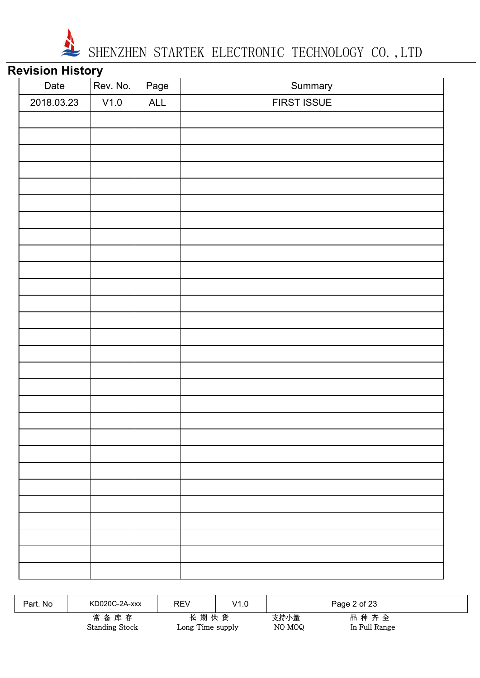

## **Revision History**

| Date       | Rev. No. | Page      | Summary     |
|------------|----------|-----------|-------------|
| 2018.03.23 | V1.0     | $\sf ALL$ | FIRST ISSUE |
|            |          |           |             |
|            |          |           |             |
|            |          |           |             |
|            |          |           |             |
|            |          |           |             |
|            |          |           |             |
|            |          |           |             |
|            |          |           |             |
|            |          |           |             |
|            |          |           |             |
|            |          |           |             |
|            |          |           |             |
|            |          |           |             |
|            |          |           |             |
|            |          |           |             |
|            |          |           |             |
|            |          |           |             |
|            |          |           |             |
|            |          |           |             |
|            |          |           |             |
|            |          |           |             |
|            |          |           |             |
|            |          |           |             |
|            |          |           |             |
|            |          |           |             |
|            |          |           |             |
|            |          |           |             |
|            |          |           |             |

| Part, No | KD020C-2A-xxx                 | REV                      | V1.0 |                | Page 2 of 23          |  |
|----------|-------------------------------|--------------------------|------|----------------|-----------------------|--|
|          | 常备库存<br><b>Standing Stock</b> | 长期供货<br>Long Time supply |      | 支持小量<br>NO MOQ | 品种齐全<br>In Full Range |  |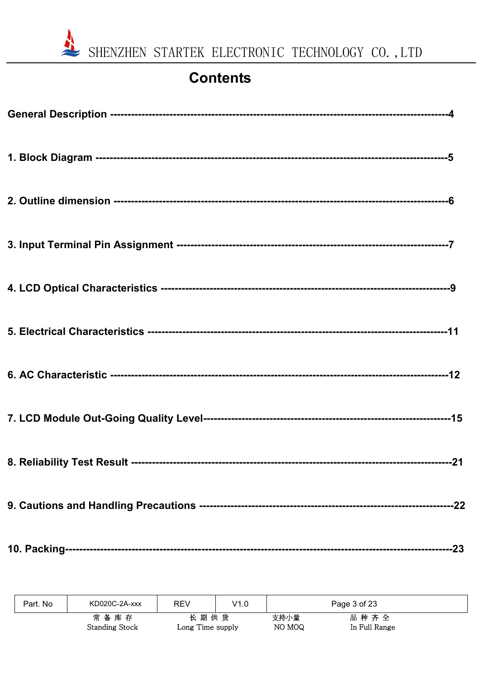

# **Contents**

| Part. No | KD020C-2A-xxx         | REV              | V1.0 |        | Page 3 of 23  |
|----------|-----------------------|------------------|------|--------|---------------|
|          | 常备库存                  | 长期供货             |      | 支持小量   | 品种齐全          |
|          | <b>Standing Stock</b> | Long Time supply |      | NO MOQ | In Full Range |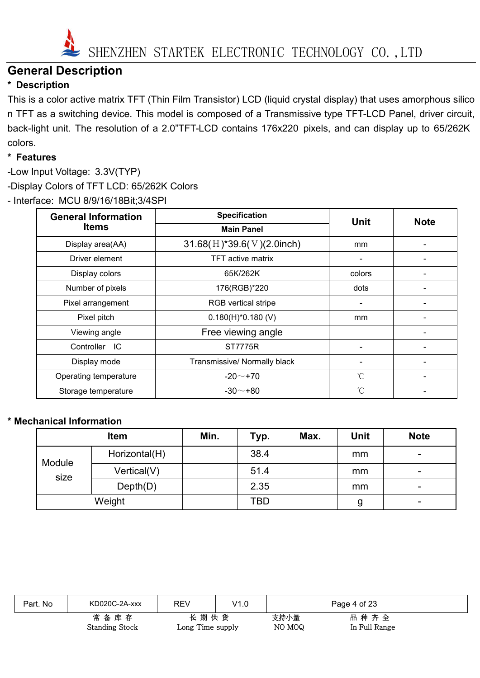

### **General Description**

#### **\* Description**

This is a color active matrix TFT (Thin Film Transistor) LCD (liquid crystal display) that uses amorphous silico n TFT as a switching device. This model is composed of a Transmissive type TFT-LCD Panel, driver circuit, back-light unit. The resolution of a 2.0"TFT-LCD contains 176x220 pixels, and can display up to 65/262K colors.

#### **\* Features**

-Low Input Voltage: 3.3V(TYP) -Display Colors of TFT LCD: 65/262K Colors - Interface: MCU 8/9/16/18Bit;3/4SPI

| <b>General Information</b> | <b>Specification</b>         | <b>Unit</b> | <b>Note</b> |
|----------------------------|------------------------------|-------------|-------------|
| <b>Items</b>               | <b>Main Panel</b>            |             |             |
| Display area(AA)           | $31.68(H)$ *39.6(V)(2.0inch) | mm          |             |
| Driver element             | <b>TFT</b> active matrix     |             |             |
| Display colors             | 65K/262K                     | colors      |             |
| Number of pixels           | 176(RGB)*220                 | dots        |             |
| Pixel arrangement          | RGB vertical stripe          |             |             |
| Pixel pitch                | $0.180(H)^*0.180(V)$         | mm          |             |
| Viewing angle              | Free viewing angle           |             |             |
| Controller<br>IC           | <b>ST7775R</b>               |             |             |
| Display mode               | Transmissive/ Normally black |             |             |
| Operating temperature      | $-20$ ~ +70                  | °C          |             |
| Storage temperature        | $-30$ $-$ +80                | °C          |             |

#### **\* Mechanical Information**

|        | <b>Item</b>   | Min. | Typ. | Max. | Unit | <b>Note</b> |
|--------|---------------|------|------|------|------|-------------|
| Module | Horizontal(H) |      | 38.4 |      | mm   | -           |
| size   | Vertical(V)   |      | 51.4 |      | mm   |             |
|        | Depth(D)      |      | 2.35 |      | mm   |             |
|        | Weight        |      | TBD  |      | g    | -           |

| Part. No | KD020C-2A-xxx                 | REV                      | V1.0 |                | Page 4 of 23          |
|----------|-------------------------------|--------------------------|------|----------------|-----------------------|
|          | 常备库存<br><b>Standing Stock</b> | 长期供货<br>Long Time supply |      | 支持小量<br>NO MOQ | 品种齐全<br>In Full Range |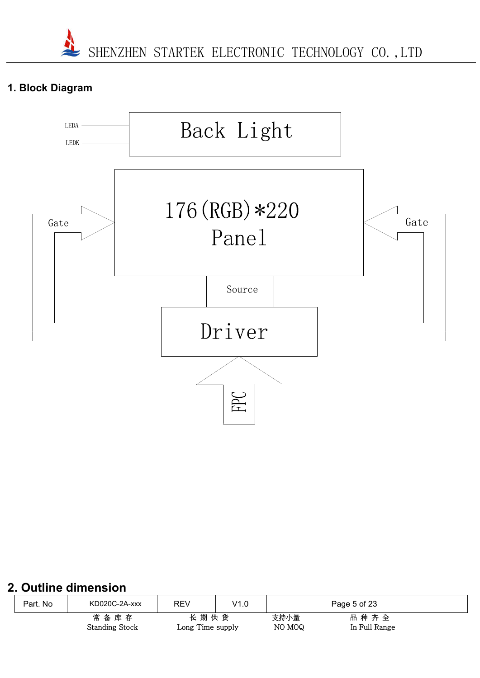#### **1. Block Diagram**



#### **2. Outline dimension**

| Part. No | KD020C-2A-xxx         | REV              | V1.0 | Page 5 of 23 |               |  |
|----------|-----------------------|------------------|------|--------------|---------------|--|
|          | 长期供货<br>常备库存          |                  |      | 支持小量         | 品种齐全          |  |
|          | <b>Standing Stock</b> | Long Time supply |      | NO MOQ       | In Full Range |  |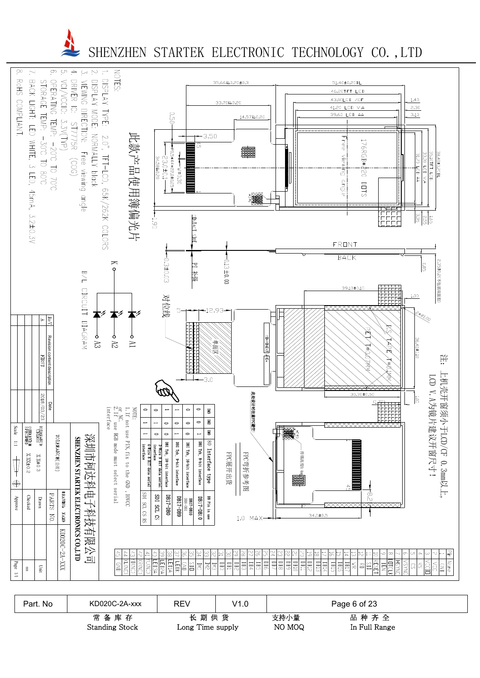

| Part. No | KD020C-2A-xxx                     | REV                      | V1.0 |                | Page 6 of 23          |
|----------|-----------------------------------|--------------------------|------|----------------|-----------------------|
|          | 常<br>备库存<br><b>Standing Stock</b> | 长期供货<br>Long Time supply |      | 支持小量<br>NO MOQ | 品种齐全<br>In Full Range |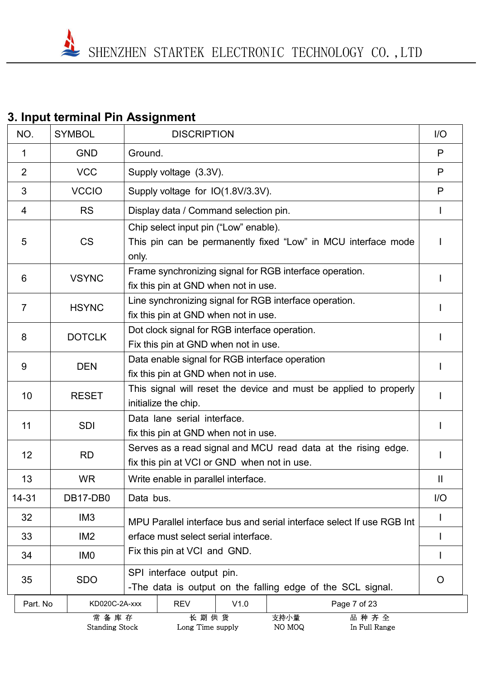# **3. Input terminal Pin Assignment**

| NO.            | <b>SYMBOL</b>                 | <b>DISCRIPTION</b>                                                                                              |                     |  |  |  |  |
|----------------|-------------------------------|-----------------------------------------------------------------------------------------------------------------|---------------------|--|--|--|--|
| $\mathbf 1$    | <b>GND</b>                    | Ground.                                                                                                         | P                   |  |  |  |  |
| $\overline{2}$ | <b>VCC</b>                    | Supply voltage (3.3V).                                                                                          | P                   |  |  |  |  |
| 3              | <b>VCCIO</b>                  | Supply voltage for IO(1.8V/3.3V).                                                                               | P                   |  |  |  |  |
| 4              | <b>RS</b>                     | Display data / Command selection pin.                                                                           |                     |  |  |  |  |
| 5              | <b>CS</b>                     | Chip select input pin ("Low" enable).<br>This pin can be permanently fixed "Low" in MCU interface mode<br>only. |                     |  |  |  |  |
| 6              | <b>VSYNC</b>                  | Frame synchronizing signal for RGB interface operation.<br>fix this pin at GND when not in use.                 |                     |  |  |  |  |
| $\overline{7}$ | <b>HSYNC</b>                  | Line synchronizing signal for RGB interface operation.<br>fix this pin at GND when not in use.                  |                     |  |  |  |  |
| 8              | <b>DOTCLK</b>                 | Dot clock signal for RGB interface operation.<br>Fix this pin at GND when not in use.                           |                     |  |  |  |  |
| 9              | <b>DEN</b>                    | Data enable signal for RGB interface operation<br>fix this pin at GND when not in use.                          |                     |  |  |  |  |
| 10             | <b>RESET</b>                  | This signal will reset the device and must be applied to properly<br>initialize the chip.                       |                     |  |  |  |  |
| 11             | <b>SDI</b>                    | Data lane serial interface.<br>fix this pin at GND when not in use.                                             |                     |  |  |  |  |
| 12             | <b>RD</b>                     | Serves as a read signal and MCU read data at the rising edge.<br>fix this pin at VCI or GND when not in use.    |                     |  |  |  |  |
| 13             | <b>WR</b>                     | Write enable in parallel interface.                                                                             | $\mathbf \mathsf I$ |  |  |  |  |
| 14-31          | DB17-DB0                      | Data bus.                                                                                                       | 1/O                 |  |  |  |  |
| 32             | IM <sub>3</sub>               | MPU Parallel interface bus and serial interface select If use RGB Int                                           |                     |  |  |  |  |
| 33             | IM <sub>2</sub>               | erface must select serial interface.                                                                            |                     |  |  |  |  |
| 34             | IM <sub>0</sub>               | Fix this pin at VCI and GND.                                                                                    |                     |  |  |  |  |
| 35             | <b>SDO</b>                    | SPI interface output pin.<br>-The data is output on the falling edge of the SCL signal.                         |                     |  |  |  |  |
| Part. No       | KD020C-2A-xxx                 | <b>REV</b><br>V1.0<br>Page 7 of 23                                                                              |                     |  |  |  |  |
|                | 常备库存<br><b>Standing Stock</b> | 长期供货<br>支持小量<br>品种齐全<br>Long Time supply<br>NO MOQ<br>In Full Range                                             |                     |  |  |  |  |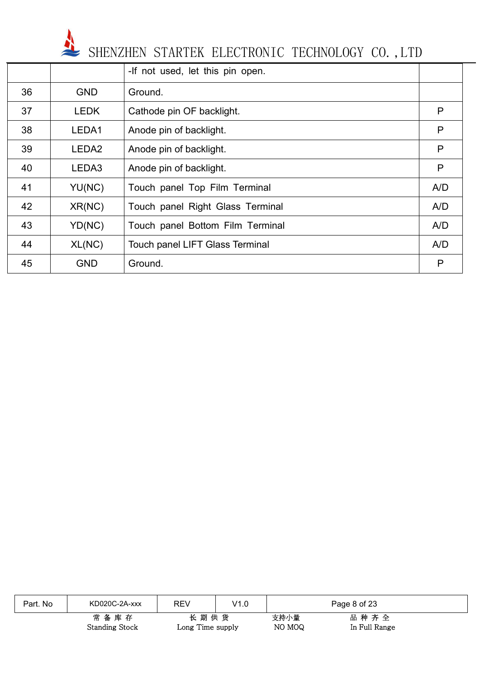

|    |                   | -If not used, let this pin open.       |     |
|----|-------------------|----------------------------------------|-----|
| 36 | <b>GND</b>        | Ground.                                |     |
| 37 | <b>LEDK</b>       | Cathode pin OF backlight.              | P   |
| 38 | LEDA1             | Anode pin of backlight.                | P   |
| 39 | LEDA <sub>2</sub> | Anode pin of backlight.                | P   |
| 40 | LEDA3             | Anode pin of backlight.                | P   |
| 41 | YU(NC)            | Touch panel Top Film Terminal          | A/D |
| 42 | XR(NC)            | Touch panel Right Glass Terminal       | A/D |
| 43 | YD(NC)            | Touch panel Bottom Film Terminal       | A/D |
| 44 | XL(NC)            | <b>Touch panel LIFT Glass Terminal</b> | A/D |
| 45 | <b>GND</b>        | Ground.                                | P   |

| Part. No | KD020C-2A-xxx                 | <b>REV</b>               | V1.0 |                | Page 8 of 23          |  |
|----------|-------------------------------|--------------------------|------|----------------|-----------------------|--|
|          | 常备库存<br><b>Standing Stock</b> | 长期供货<br>Long Time supply |      | 支持小量<br>NO MOQ | 品种齐全<br>In Full Range |  |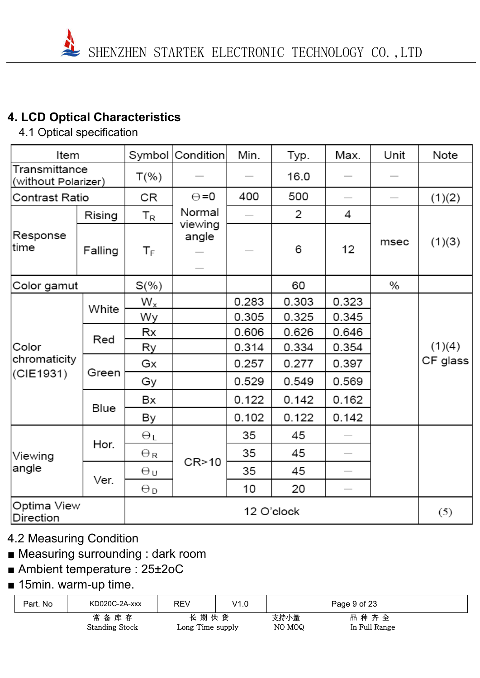# **4. LCD Optical Characteristics**

4.1 Optical specification

| Item                                 |         |                           | Symbol Condition                             | Min.  | Typ.       | Max.                     | Unit | Note     |
|--------------------------------------|---------|---------------------------|----------------------------------------------|-------|------------|--------------------------|------|----------|
| Transmittance<br>(without Polarizer) |         | $T(\%)$                   |                                              |       | 16.0       |                          |      |          |
| Contrast Ratio                       |         | CR                        | $\Theta = 0$                                 | 400   | 500        | $\overline{\phantom{a}}$ |      | (1)(2)   |
|                                      | Rising  | $\mathsf{T}_{\mathsf{R}}$ | Normal                                       |       | 2          | 4                        |      |          |
| Response<br>time                     | Falling | $\mathsf{T}_\mathsf{F}$   | viewing<br>angle<br>$\overline{\phantom{a}}$ |       | 6          | 12                       | msec | (1)(3)   |
| Color gamut                          |         | $S(\%)$                   |                                              |       | 60         |                          | $\%$ |          |
|                                      | White   | $W_{x}$                   |                                              | 0.283 | 0.303      | 0.323                    |      |          |
|                                      |         | Wy                        |                                              | 0.305 | 0.325      | 0.345                    |      |          |
|                                      | Red     | Rx                        |                                              | 0.606 | 0.626      | 0.646                    |      |          |
| Color                                |         | Ry                        |                                              | 0.314 | 0.334      | 0.354                    |      | (1)(4)   |
| chromaticity                         | Green   | Gx                        |                                              | 0.257 | 0.277      | 0.397                    |      | CF glass |
| (CIE1931)                            |         | Gу                        |                                              | 0.529 | 0.549      | 0.569                    |      |          |
|                                      | Blue    | Bx                        |                                              | 0.122 | 0.142      | 0.162                    |      |          |
|                                      |         | By                        |                                              | 0.102 | 0.122      | 0.142                    |      |          |
|                                      |         | θL                        |                                              | 35    | 45         |                          |      |          |
| Viewing                              | Hor.    | $\Theta_{\rm R}$          |                                              | 35    | 45         |                          |      |          |
| angle                                | Ver.    | θu                        | CR > 10                                      | 35    | 45         | $\overline{\phantom{a}}$ |      |          |
|                                      |         | $\Theta_{\mathsf{D}}$     |                                              | 10    | 20         | $\overline{\phantom{a}}$ |      |          |
| Optima View<br>Direction             |         |                           |                                              |       | 12 O'clock |                          |      | (5)      |

# 4.2 Measuring Condition

# ■ Measuring surrounding : dark room

- Ambient temperature : 25±2oC
- 15min. warm-up time.

| Part. No | KD020C-2A-xxx         | REV              | V1.0 | Page 9 of 23 |               |  |
|----------|-----------------------|------------------|------|--------------|---------------|--|
|          | 常备库存                  |                  | 长期供货 | 支持小量         | 品种齐全          |  |
|          | <b>Standing Stock</b> | Long Time supply |      | NO MOQ       | In Full Range |  |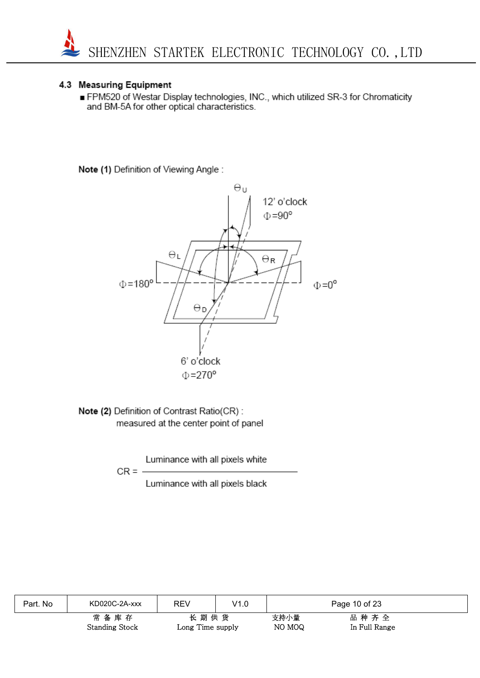

#### 4.3 Measuring Equipment

FPM520 of Westar Display technologies, INC., which utilized SR-3 for Chromaticity and BM-5A for other optical characteristics.

Note (1) Definition of Viewing Angle:



Note (2) Definition of Contrast Ratio(CR): measured at the center point of panel

Luminance with all pixels white

$$
CR =
$$

Luminance with all pixels black

| Part. No | KD020C-2A-xxx                     | REV                      | V1.0 |                | Page 10 of 23         |
|----------|-----------------------------------|--------------------------|------|----------------|-----------------------|
|          | 常<br>备库存<br><b>Standing Stock</b> | 长期供货<br>Long Time supply |      | 支持小量<br>NO MOQ | 品种齐全<br>In Full Range |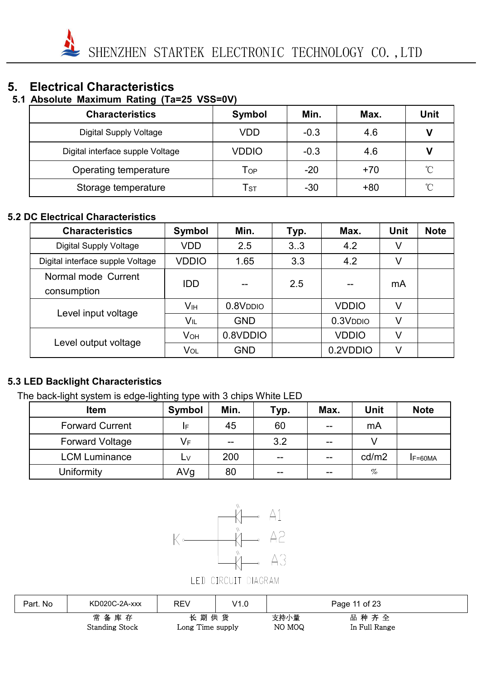#### **5. Electrical Characteristics**

#### **5.1 Absolute Maximum Rating (Ta=25 VSS=0V)**

| <b>Characteristics</b>           | Symbol                     | Min.   | Max.  | Unit          |
|----------------------------------|----------------------------|--------|-------|---------------|
| <b>Digital Supply Voltage</b>    | VDD                        | $-0.3$ | 4.6   | V             |
| Digital interface supple Voltage | VDDIO                      | $-0.3$ | 4.6   |               |
| Operating temperature            | $\mathsf{T}_{\mathsf{OP}}$ | $-20$  | $+70$ | $^{\circ}$ C  |
| Storage temperature              | $\mathsf{T}_{\texttt{ST}}$ | $-30$  | $+80$ | $^{\circ}\!C$ |

#### **5.2 DC Electrical Characteristics**

| <b>Characteristics</b>             | Symbol                | Min.        | Typ. | Max.        | <b>Unit</b> | <b>Note</b> |
|------------------------------------|-----------------------|-------------|------|-------------|-------------|-------------|
| <b>Digital Supply Voltage</b>      | <b>VDD</b>            | 2.5         | 3.3  | 4.2         | V           |             |
| Digital interface supple Voltage   | VDDIO                 | 1.65        | 3.3  | 4.2         | V           |             |
| Normal mode Current<br>consumption | <b>IDD</b>            |             | 2.5  |             | mA          |             |
| Level input voltage                | Vıн                   | $0.8V$ DDIO |      | VDDIO       | V           |             |
|                                    | Vıl                   | <b>GND</b>  |      | $0.3V$ DDIO | V           |             |
|                                    | <b>V<sub>OH</sub></b> | 0.8VDDIO    |      | VDDIO       | V           |             |
| Level output voltage               | Vol                   | <b>GND</b>  |      | 0.2VDDIO    | V           |             |

#### **5.3 LED Backlight Characteristics**

The back-light system is edge-lighting type with 3 chips White LED

| <b>Item</b>            | Symbol | Min.  | Typ.  | Max.  | <b>Unit</b> | <b>Note</b> |
|------------------------|--------|-------|-------|-------|-------------|-------------|
| <b>Forward Current</b> | IF     | 45    | 60    | $- -$ | mA          |             |
| <b>Forward Voltage</b> | VF     | $- -$ | 3.2   | $- -$ |             |             |
| <b>LCM Luminance</b>   | L٧     | 200   | $- -$ | --    | cd/m2       | $IF=60MA$   |
| Uniformity             | AVg    | 80    | $- -$ | $- -$ | $\%$        |             |



| Part. No | KD020C-2A-xxx                 | REV                      | V1.0 |                | Page 11 of 23         |
|----------|-------------------------------|--------------------------|------|----------------|-----------------------|
|          | 常备库存<br><b>Standing Stock</b> | 长期供货<br>Long Time supply |      | 支持小量<br>NO MOQ | 品种齐全<br>In Full Range |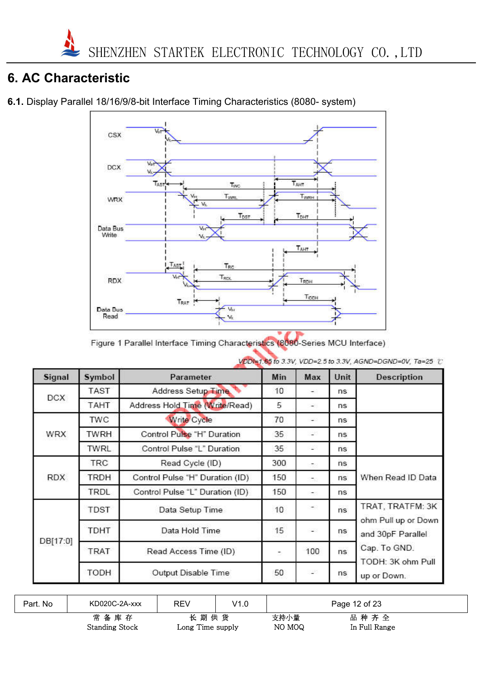## **6. AC Characteristic**

**6.1.** Display Parallel 18/16/9/8-bit Interface Timing Characteristics (8080- system)



Figure 1 Parallel Interface Timing Characteristics (8080-Series MCU Interface)

| Signal     | Symbol      | Parameter                       | Min | Max                      | Unit | <b>Description</b>                       |  |
|------------|-------------|---------------------------------|-----|--------------------------|------|------------------------------------------|--|
| <b>DCX</b> | <b>TAST</b> | Address Setup Time              | 10  | -3                       | ns   |                                          |  |
|            | TAHT        | Address Hold Time (Write/Read)  | 5   | $\overline{\phantom{a}}$ | ns   |                                          |  |
|            | TWC         | <b>Write Cycle</b>              | 70  | $\sim$                   | ns   |                                          |  |
| <b>WRX</b> | <b>TWRH</b> | Control Pulse "H" Duration      | 35  | US.                      | ns.  |                                          |  |
|            | <b>TWRL</b> | Control Pulse "L" Duration      | 35  | ÷                        | ns   |                                          |  |
|            | TRC         | Read Cycle (ID)                 | 300 | ÷.                       | ns   |                                          |  |
| <b>RDX</b> | <b>TRDH</b> | Control Pulse "H" Duration (ID) | 150 | C.                       | ns   | When Read ID Data                        |  |
|            | TRDL        | Control Pulse "L" Duration (ID) | 150 | $\sim$                   | ns   |                                          |  |
|            | TDST        | Data Setup Time                 | 10  | $\rightarrow$            | ns   | TRAT, TRATFM: 3K                         |  |
|            | TDHT        | Data Hold Time                  | 15  | -23                      | ns   | ohm Pull up or Down<br>and 30pF Parallel |  |
| DB[17:0]   | <b>TRAT</b> | Read Access Time (ID)           | ÷   | 100                      | ns   | Cap. To GND.<br>TODH: 3K ohm Pull        |  |
|            | TODH        | Output Disable Time             | 50  | <b>COL</b>               | ns   | up or Down.                              |  |

VDDI=1.65 to 3.3V, VDD=2.5 to 3.3V, AGND=DGND=0V, Ta=25 °C

| Part. No | KD020C-2A-xxx         | REV              | V1.0 | Page 12 of 23 |               |  |
|----------|-----------------------|------------------|------|---------------|---------------|--|
|          | 常备库存                  | 长期供货             |      | 支持小量          | 品种齐全          |  |
|          | <b>Standing Stock</b> | Long Time supply |      | NO MOQ        | In Full Range |  |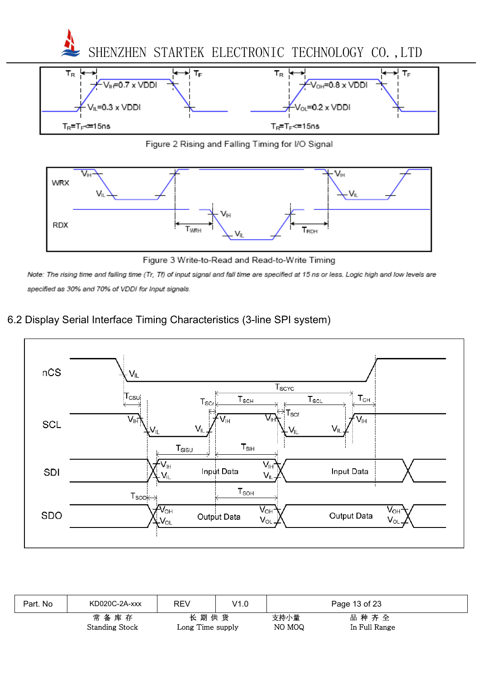

Figure 2 Rising and Falling Timing for I/O Signal

 $T_R = T_F \le 15$ ns



Figure 3 Write-to-Read and Read-to-Write Timing

Note: The rising time and falling time (Tr, Tf) of input signal and fall time are specified at 15 ns or less. Logic high and low levels are specified as 30% and 70% of VDDI for Input signals.

#### 6.2 Display Serial Interface Timing Characteristics (3-line SPI system)

 $T_R = T_F \approx 15$ ns



| Part. No | KD020C-2A-xxx                     | <b>REV</b>               | V1.0 |                | Page 13 of 23         |  |
|----------|-----------------------------------|--------------------------|------|----------------|-----------------------|--|
|          | 常<br>备库存<br><b>Standing Stock</b> | 长期供货<br>Long Time supply |      | 支持小量<br>NO MOQ | 品种齐全<br>In Full Range |  |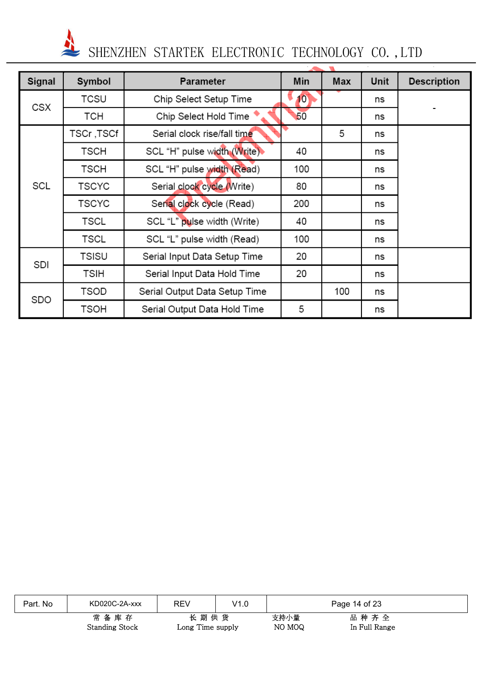| <b>Signal</b> | Symbol       | Parameter                     | <b>Min</b>      | <b>Max</b> | Unit | <b>Description</b> |
|---------------|--------------|-------------------------------|-----------------|------------|------|--------------------|
| CSX           | <b>TCSU</b>  | Chip Select Setup Time        | 10 <sub>1</sub> |            | ns   |                    |
|               | <b>TCH</b>   | Chip Select Hold Time         | 50              |            | ns   |                    |
|               | TSCr ,TSCf   | Serial clock rise/fall time   |                 | 5          | ns   |                    |
|               | TSCH         | SCL "H" pulse width (Write)   | 40              |            | ns   |                    |
|               | TSCH         | SCL "H" pulse width (Read)    | 100             |            | ns   |                    |
| SCL           | TSCYC        | Serial clock cycle (Write)    | 80              |            | ns   |                    |
|               | <b>TSCYC</b> | Serial clock cycle (Read)     | 200             |            | ns   |                    |
|               | TSCL         | SCL "L" pulse width (Write)   | 40              |            | ns   |                    |
|               | <b>TSCL</b>  | SCL "L" pulse width (Read)    | 100             |            | ns   |                    |
| SDI           | <b>TSISU</b> | Serial Input Data Setup Time  | 20              |            | ns   |                    |
|               | TSIH         | Serial Input Data Hold Time   | 20              |            | ns   |                    |
| SDO           | TSOD         | Serial Output Data Setup Time |                 | 100        | ns   |                    |
|               | TSOH         | Serial Output Data Hold Time  | 5               |            | ns   |                    |

| Part. No | KD020C-2A-xxx                 | <b>REV</b>               | V1.0 | Page 14 of 23  |                       |  |
|----------|-------------------------------|--------------------------|------|----------------|-----------------------|--|
|          | 常备库存<br><b>Standing Stock</b> | 长期供货<br>Long Time supply |      | 支持小量<br>NO MOQ | 品种齐全<br>In Full Range |  |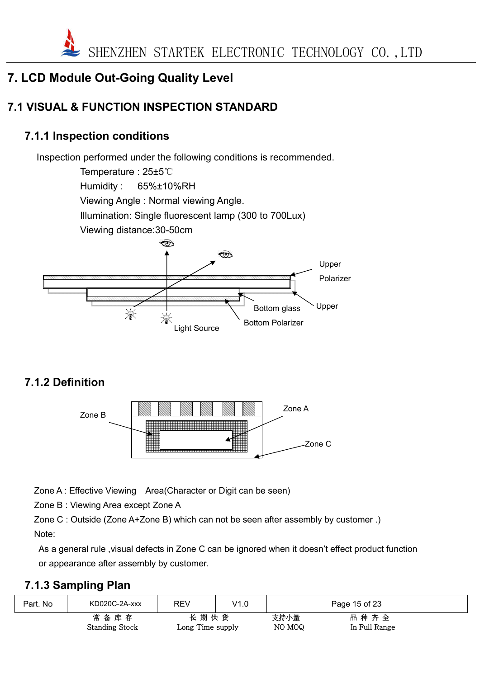

## **7. LCD Module Out-Going Quality Level**

# **7.1 VISUAL & FUNCTION INSPECTION STANDARD**

#### **7.1.1 Inspection conditions**

Inspection performed under the following conditions is recommended.

Temperature : 25±5℃ Humidity : 65%±10%RH Viewing Angle : Normal viewing Angle. Illumination: Single fluorescent lamp (300 to 700Lux) Viewing distance:30-50cm



# **7.1.2 Definition**



Zone A : Effective Viewing Area (Character or Digit can be seen)

Zone B : Viewing Area except Zone A

Zone C : Outside (Zone A+Zone B) which can not be seen after assembly by customer .) Note:

As a general rule ,visual defects in Zone C can be ignored when it doesn't effect product function or appearance after assembly by customer.

#### **7.1.3 Sampling Plan**

| Part. No | KD020C-2A-xxx         | <b>REV</b>                | V1.0 |        | Page 15 of 23 |  |
|----------|-----------------------|---------------------------|------|--------|---------------|--|
|          | 常<br>备库存              | 长期供货                      |      | 支持小量   | 品种齐全          |  |
|          | <b>Standing Stock</b> | $\text{Long Time supply}$ |      | NO MOQ | In Full Range |  |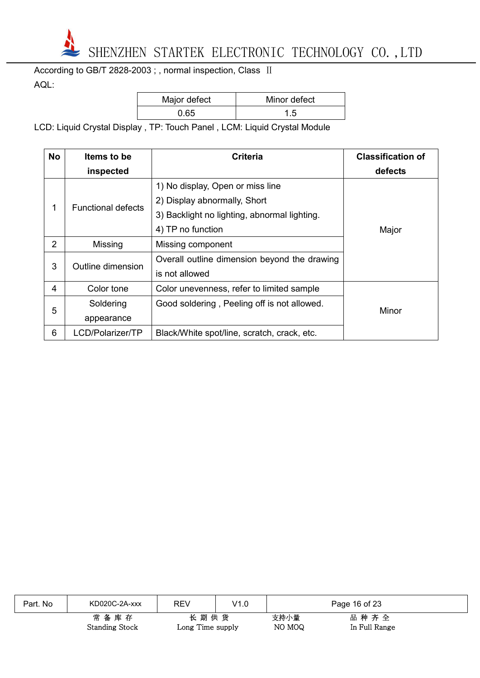

According to GB/T 2828-2003 ; , normal inspection, Class II AQL:

| Major defect | Minor defect |
|--------------|--------------|
| 0.65         | 1.5          |

LCD: Liquid Crystal Display , TP: Touch Panel , LCM: Liquid Crystal Module

| <b>No</b> | <b>Items to be</b>        | <b>Criteria</b>                              | <b>Classification of</b> |
|-----------|---------------------------|----------------------------------------------|--------------------------|
|           | inspected                 |                                              | defects                  |
|           |                           | 1) No display, Open or miss line             |                          |
| 1         | <b>Functional defects</b> | 2) Display abnormally, Short                 |                          |
|           |                           | 3) Backlight no lighting, abnormal lighting. |                          |
|           |                           | 4) TP no function                            | Major                    |
| 2         | Missing                   | Missing component                            |                          |
| 3         | Outline dimension         | Overall outline dimension beyond the drawing |                          |
|           |                           | is not allowed                               |                          |
| 4         | Color tone                | Color unevenness, refer to limited sample    |                          |
|           | Soldering                 | Good soldering, Peeling off is not allowed.  |                          |
| 5         | appearance                |                                              | Minor                    |
| 6         | LCD/Polarizer/TP          | Black/White spot/line, scratch, crack, etc.  |                          |

| Part. No | KD020C-2A-xxx                 | <b>REV</b>               | V1.0 |                | Page 16 of 23         |
|----------|-------------------------------|--------------------------|------|----------------|-----------------------|
|          | 常备库存<br><b>Standing Stock</b> | 长期供货<br>Long Time supply |      | 支持小量<br>NO MOQ | 品种齐全<br>In Full Range |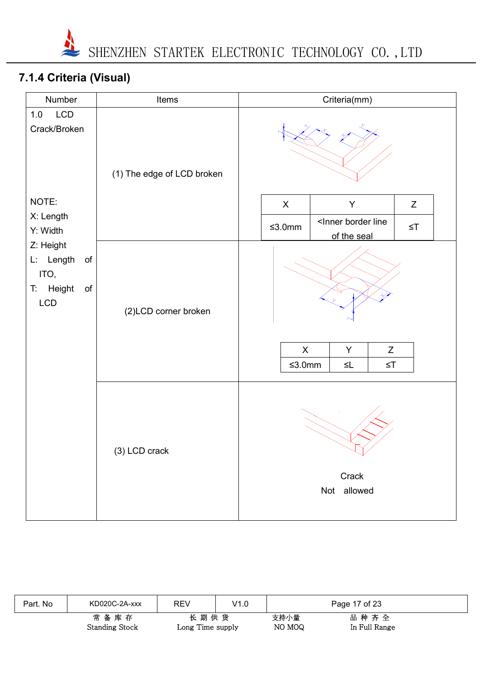

# **7.1.4 Criteria (Visual)**

| Number                                                                                  | Items                      | Criteria(mm)                                                                                                                      |  |  |  |  |
|-----------------------------------------------------------------------------------------|----------------------------|-----------------------------------------------------------------------------------------------------------------------------------|--|--|--|--|
| LCD<br>$1.0$<br>Crack/Broken                                                            | (1) The edge of LCD broken |                                                                                                                                   |  |  |  |  |
| NOTE:                                                                                   |                            | $\boldsymbol{\mathsf{X}}$<br>Y<br>Z                                                                                               |  |  |  |  |
| X: Length<br>Y: Width                                                                   |                            | <inner border="" line<br=""><math display="inline">≤3.0mm</math><br/><math display="inline">\leq</math> T<br/>of the seal</inner> |  |  |  |  |
| Z: Height<br>L: Length<br>$\mathsf{of}$<br>ITO,<br>Height<br>$\mathsf{of}$<br>T.<br>LCD | (2)LCD corner broken       | $\mathsf X$<br>Z<br>Y<br>$≤3.0mm$<br>$\leq$ T<br>$\leq\!\!\mathrel{\mathop{\mathsf{L}}}$                                          |  |  |  |  |
|                                                                                         | (3) LCD crack              | Crack<br>Not allowed                                                                                                              |  |  |  |  |

| Part. No | KD020C-2A-xxx                 | <b>REV</b>               | V1.0 |                | Page 17 of 23         |  |
|----------|-------------------------------|--------------------------|------|----------------|-----------------------|--|
|          | 常备库存<br><b>Standing Stock</b> | 长期供货<br>Long Time supply |      | 支持小量<br>NO MOQ | 品种齐全<br>In Full Range |  |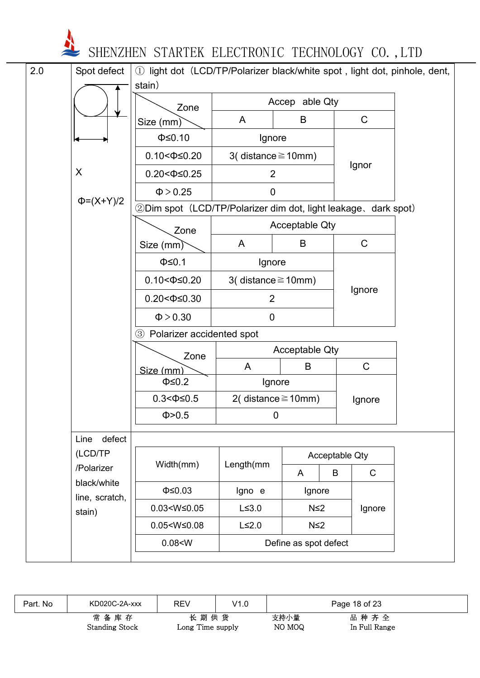| 2.0 | Spot defect            | 1) light dot (LCD/TP/Polarizer black/white spot, light dot, pinhole, dent, |                                        |                       |                                |              |  |
|-----|------------------------|----------------------------------------------------------------------------|----------------------------------------|-----------------------|--------------------------------|--------------|--|
|     |                        | stain)                                                                     |                                        | Accep able Qty        |                                |              |  |
|     |                        | Zone<br>Size (mm)                                                          | A                                      | B                     |                                | $\mathsf C$  |  |
|     |                        | $\Phi \leq 0.10$                                                           | Ignore                                 |                       |                                |              |  |
|     |                        | $0.10 < \Phi \leq 0.20$                                                    | 3(distance $\geq$ 10mm)                |                       |                                |              |  |
|     | X                      | $0.20 < \Phi \leq 0.25$                                                    | $\overline{2}$                         |                       | Ignor                          |              |  |
|     | $\Phi = (X+Y)/2$       | $\Phi > 0.25$                                                              | $\mathbf 0$                            |                       |                                |              |  |
|     |                        | 2Dim spot (LCD/TP/Polarizer dim dot, light leakage, dark spot)             |                                        |                       |                                |              |  |
|     |                        | Zone                                                                       |                                        | <b>Acceptable Qty</b> |                                |              |  |
|     |                        | Size (mm)                                                                  | A                                      | B                     |                                | $\mathsf{C}$ |  |
|     |                        | $\Phi \leq 0.1$                                                            | Ignore                                 |                       |                                |              |  |
|     |                        | $0.10 < \Phi \leq 0.20$                                                    | 3(distance $\geq$ 10mm)                |                       |                                | Ignore       |  |
|     |                        | $0.20 < \Phi \leq 0.30$                                                    | $\overline{2}$                         |                       |                                |              |  |
|     |                        | $\Phi > 0.30$                                                              | 0                                      |                       |                                |              |  |
|     |                        | 3 Polarizer accidented spot                                                |                                        |                       |                                |              |  |
|     |                        | Zone                                                                       |                                        | <b>Acceptable Qty</b> |                                |              |  |
|     |                        | Size (mm)                                                                  | A                                      | B                     |                                | $\mathsf C$  |  |
|     |                        | $\Phi \leq 0.2$                                                            | Ignore                                 |                       |                                |              |  |
|     |                        | $0.3 < \Phi \leq 0.5$<br>Φ > 0.5                                           | 2(distance $\geq$ 10mm)<br>$\mathbf 0$ |                       |                                | Ignore       |  |
|     |                        |                                                                            |                                        |                       |                                |              |  |
|     | Line defect<br>(LCD/TP |                                                                            |                                        |                       |                                |              |  |
|     | /Polarizer             | Width(mm)                                                                  | Length(mm                              |                       | <b>Acceptable Qty</b>          | $\mathsf C$  |  |
|     | black/white            | $\Phi \leq 0.03$                                                           | Igno e                                 | A                     | B                              |              |  |
|     | line, scratch,         | $0.03 < W \le 0.05$                                                        | $L \leq 3.0$                           |                       | Ignore<br>$N \leq 2$<br>Ignore |              |  |
|     | stain)                 | $0.05 < W \leq 0.08$                                                       | $L \leq 2.0$                           | $N \leq 2$            |                                |              |  |
|     |                        | 0.08 < W                                                                   |                                        | Define as spot defect |                                |              |  |
|     |                        |                                                                            |                                        |                       |                                |              |  |

| Part. No | KD020C-2A-xxx                 | REV                      | V1.0 |                | Page 18 of 23         |  |
|----------|-------------------------------|--------------------------|------|----------------|-----------------------|--|
|          | 常备库存<br><b>Standing Stock</b> | 长期供货<br>Long Time supply |      | 支持小量<br>NO MOQ | 品种齐全<br>In Full Range |  |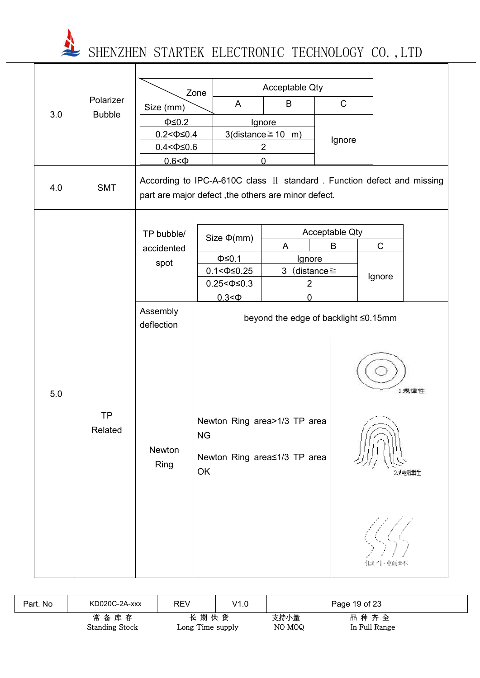|                  |                      | Zone                                                                                                                          |                                      |                                                              | Acceptable Qty              |                |             |               |
|------------------|----------------------|-------------------------------------------------------------------------------------------------------------------------------|--------------------------------------|--------------------------------------------------------------|-----------------------------|----------------|-------------|---------------|
|                  | Polarizer            | Size (mm)                                                                                                                     |                                      | A                                                            | B                           | $\mathsf{C}$   |             |               |
|                  | 3.0<br><b>Bubble</b> | $\Phi \leq 0.2$<br>$0.2 < \Phi \le 0.4$<br>$0.4 < \Phi \le 0.6$<br>0.6 < 0                                                    |                                      | Ignore<br>3(distance $\geq$ 10 m)<br>$\overline{2}$<br>0     |                             | Ignore         |             |               |
| 4.0              | <b>SMT</b>           | According to IPC-A-610C class II standard. Function defect and missing<br>part are major defect, the others are minor defect. |                                      |                                                              |                             |                |             |               |
|                  |                      | TP bubble/                                                                                                                    |                                      | Size $\Phi$ (mm)                                             |                             | Acceptable Qty |             |               |
|                  |                      | accidented                                                                                                                    |                                      |                                                              | A                           | B              | $\mathsf C$ |               |
|                  |                      | spot                                                                                                                          |                                      | $\Phi \leq 0.1$<br>$0.1 < \Phi \le 0.25$                     | Ignore<br>3 (distance $\ge$ |                |             |               |
|                  |                      |                                                                                                                               |                                      | $0.25 < \Phi \leq 0.3$                                       | $\overline{2}$              |                | Ignore      |               |
|                  |                      |                                                                                                                               |                                      | $0.3<\Phi$                                                   | 0                           |                |             |               |
| 5.0<br><b>TP</b> |                      | Assembly<br>deflection                                                                                                        | beyond the edge of backlight ≤0.15mm |                                                              |                             |                |             |               |
|                  | Related              | Newton<br>Ring                                                                                                                | <b>NG</b><br>OK                      | Newton Ring area>1/3 TP area<br>Newton Ring area≤1/3 TP area |                             |                |             | 1規律件<br>≿非某肆牛 |
|                  |                      |                                                                                                                               |                                      |                                                              |                             |                | 似牛顿坏        |               |

| Part. No | KD020C-2A-xxx                 | REV                      | V1.0 |                | Page 19 of 23         |  |
|----------|-------------------------------|--------------------------|------|----------------|-----------------------|--|
|          | 常备库存<br><b>Standing Stock</b> | 长期供货<br>Long Time supply |      | 支持小量<br>NO MOQ | 品种齐全<br>In Full Range |  |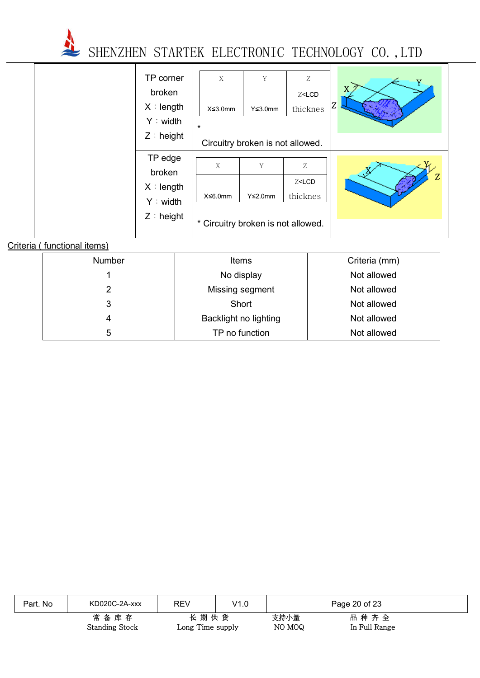

|  | TP corner    | X                                  | Y                                | Ζ                                | Y |
|--|--------------|------------------------------------|----------------------------------|----------------------------------|---|
|  | broken       |                                    |                                  | $Z$ <lcd< th=""><th></th></lcd<> |   |
|  | X : length   | $X \leq 3.0$ mm                    | $Y \leq 3.0$ mm                  | thicknes                         |   |
|  | Y : width    | $\star$                            |                                  |                                  |   |
|  | $Z :$ height |                                    | Circuitry broken is not allowed. |                                  |   |
|  | TP edge      |                                    |                                  |                                  |   |
|  | broken       | X                                  | Y                                | Ζ                                |   |
|  | X : length   |                                    |                                  | Z <lcd< td=""><td>Z</td></lcd<>  | Z |
|  |              | X≤6.0mm                            | $Y \leq 2.0$ mm                  | thicknes                         |   |
|  | Y: width     |                                    |                                  |                                  |   |
|  | $Z :$ height | * Circuitry broken is not allowed. |                                  |                                  |   |

#### Criteria ( functional items)

| <b>Number</b> | Items                 | Criteria (mm) |
|---------------|-----------------------|---------------|
|               | No display            | Not allowed   |
| 2             | Missing segment       | Not allowed   |
| 3             | Short                 | Not allowed   |
| 4             | Backlight no lighting | Not allowed   |
| 5             | TP no function        | Not allowed   |

| Part. No | KD020C-2A-xxx         | <b>REV</b>       | V1.0 |        | Page 20 of 23 |
|----------|-----------------------|------------------|------|--------|---------------|
|          | 常备库存                  | 长期供货             |      | 支持小量   | 品种齐全          |
|          | <b>Standing Stock</b> | Long Time supply |      | NO MOQ | In Full Range |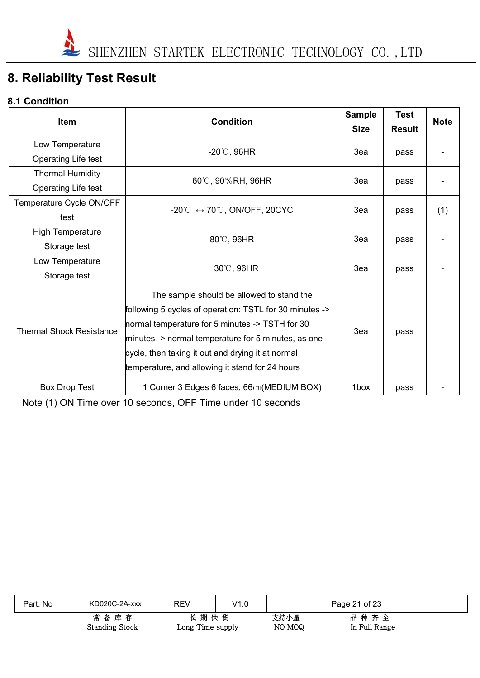# **8. Reliability Test Result**

#### **8.1 Condition**

| <b>Item</b>                     | <b>Condition</b>                                                                                                                                                                                                                                                                                                       | <b>Sample</b> |               | <b>Note</b> |
|---------------------------------|------------------------------------------------------------------------------------------------------------------------------------------------------------------------------------------------------------------------------------------------------------------------------------------------------------------------|---------------|---------------|-------------|
|                                 |                                                                                                                                                                                                                                                                                                                        | <b>Size</b>   | <b>Result</b> |             |
| Low Temperature                 | $-20^{\circ}$ C, 96HR                                                                                                                                                                                                                                                                                                  | 3ea           | pass          |             |
| Operating Life test             |                                                                                                                                                                                                                                                                                                                        |               |               |             |
| <b>Thermal Humidity</b>         | 60°C, 90%RH, 96HR                                                                                                                                                                                                                                                                                                      | 3ea           |               |             |
| Operating Life test             |                                                                                                                                                                                                                                                                                                                        |               | pass          |             |
| Temperature Cycle ON/OFF        |                                                                                                                                                                                                                                                                                                                        |               |               |             |
| test                            | -20°C $\leftrightarrow$ 70°C, ON/OFF, 20CYC                                                                                                                                                                                                                                                                            | 3ea           | pass          | (1)         |
| <b>High Temperature</b>         |                                                                                                                                                                                                                                                                                                                        |               |               |             |
| Storage test                    | 80°C, 96HR                                                                                                                                                                                                                                                                                                             | 3ea           | pass          |             |
| Low Temperature                 |                                                                                                                                                                                                                                                                                                                        |               |               |             |
| Storage test                    | $-30^{\circ}$ C, 96HR                                                                                                                                                                                                                                                                                                  | 3ea           | pass          |             |
| <b>Thermal Shock Resistance</b> | The sample should be allowed to stand the<br>following 5 cycles of operation: TSTL for 30 minutes -><br>normal temperature for 5 minutes -> TSTH for 30<br>minutes -> normal temperature for 5 minutes, as one<br>cycle, then taking it out and drying it at normal<br>temperature, and allowing it stand for 24 hours | 3ea           | pass          |             |
| <b>Box Drop Test</b>            | 1 Corner 3 Edges 6 faces, 66cm (MEDIUM BOX)                                                                                                                                                                                                                                                                            | 1box          | pass          |             |

Note (1) ON Time over 10 seconds, OFF Time under 10 seconds

| Part. No | KD020C-2A-xxx                 | REV                      | V1.0 |                | Page 21 of 23         |
|----------|-------------------------------|--------------------------|------|----------------|-----------------------|
|          | 常备库存<br><b>Standing Stock</b> | 长期供货<br>Long Time supply |      | 支持小量<br>NO MOQ | 品种齐全<br>In Full Range |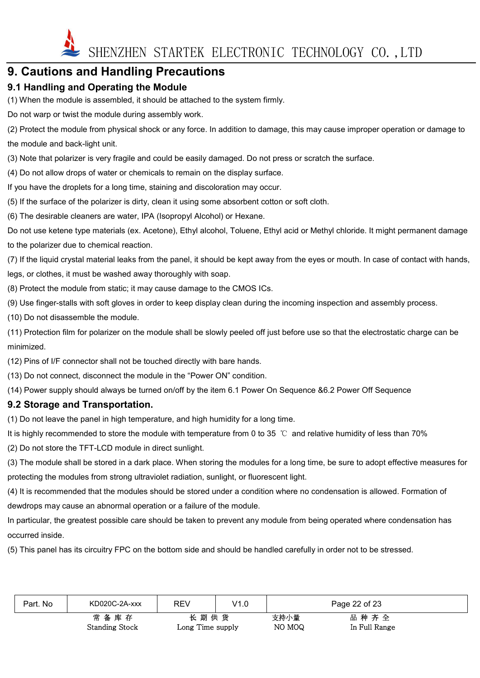

### **9. Cautions and Handling Precautions**

#### **9.1 Handling and Operating the Module**

(1) When the module is assembled, it should be attached to the system firmly.

Do not warp or twist the module during assembly work.

(2) Protect the module from physical shock or any force. In addition to damage, this may cause improper operation or damage to the module and back-light unit.

(3) Note that polarizer is very fragile and could be easily damaged. Do not press or scratch the surface.

(4) Do not allow drops of water or chemicals to remain on the display surface.

If you have the droplets for a long time, staining and discoloration may occur.

(5) If the surface of the polarizer is dirty, clean it using some absorbent cotton or soft cloth.

(6) The desirable cleaners are water, IPA (Isopropyl Alcohol) or Hexane.

Do not use ketene type materials (ex. Acetone), Ethyl alcohol, Toluene, Ethyl acid or Methyl chloride. It might permanent damage to the polarizer due to chemical reaction.

(7) If the liquid crystal material leaks from the panel, it should be kept away from the eyes or mouth. In case of contact with hands, legs, or clothes, it must be washed away thoroughly with soap.

(8) Protect the module from static; it may cause damage to the CMOS ICs.

(9) Use finger-stalls with soft gloves in order to keep display clean during the incoming inspection and assembly process.

(10) Do not disassemble the module.

(11) Protection film for polarizer on the module shall be slowly peeled off just before use so that the electrostatic charge can be minimized.

(12) Pins of I/F connector shall not be touched directly with bare hands.

(13) Do not connect, disconnect the module in the "Power ON" condition.

(14) Power supply should always be turned on/off by the item 6.1 Power On Sequence &6.2 Power Off Sequence

#### **9.2 Storage and Transportation.**

(1) Do not leave the panel in high temperature, and high humidity for a long time.

It is highly recommended to store the module with temperature from 0 to 35 ℃ and relative humidity of less than 70%

(2) Do not store the TFT-LCD module in direct sunlight.

(3) The module shall be stored in a dark place. When storing the modules for a long time, be sure to adopt effective measures for protecting the modules from strong ultraviolet radiation, sunlight, or fluorescent light.

(4) It is recommended that the modules should be stored under a condition where no condensation is allowed. Formation of dewdrops may cause an abnormal operation or a failure of the module.

In particular, the greatest possible care should be taken to prevent any module from being operated where condensation has occurred inside.

(5) This panel has its circuitry FPC on the bottom side and should be handled carefully in order not to be stressed.

| Part. No | KD020C-2A-xxx         | <b>REV</b>       | V1.0 |        | Page 22 of 23 |
|----------|-----------------------|------------------|------|--------|---------------|
|          | 常备库存                  | 长期供货             |      | 支持小量   | 品种齐全          |
|          | <b>Standing Stock</b> | Long Time supply |      | NO MOQ | In Full Range |